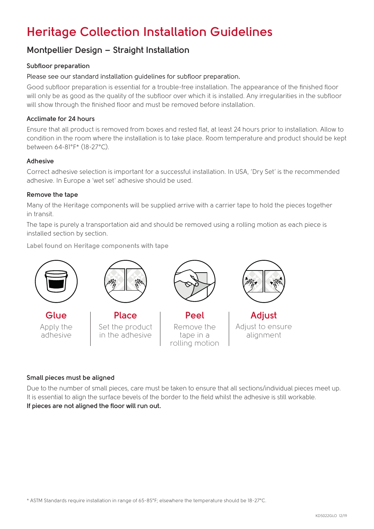# **Heritage Collection Installation Guidelines**

### **Montpellier Design – Straight Installation**

### **Subfloor preparation**

Please see our standard installation guidelines for subfloor preparation.

Good subfloor preparation is essential for a trouble-free installation. The appearance of the finished floor will only be as good as the quality of the subfloor over which it is installed. Any irregularities in the subfloor will show through the finished floor and must be removed before installation.

### **Acclimate for 24 hours**

Ensure that all product is removed from boxes and rested flat, at least 24 hours prior to installation. Allow to condition in the room where the installation is to take place. Room temperature and product should be kept between 64-81°F\* (18-27°C).

### **Adhesive**

Correct adhesive selection is important for a successful installation. In USA, 'Dry Set' is the recommended adhesive. In Europe a 'wet set' adhesive should be used.

### **Remove the tape**

Many of the Heritage components will be supplied arrive with a carrier tape to hold the pieces together in transit.

The tape is purely a transportation aid and should be removed using a rolling motion as each piece is installed section by section.

**Label found on Heritage components with tape**



**Glue** Apply the adhesive



**Place** Set the product in the adhesive



**Peel** Remove the tape in a rolling motion



**Adjust** Adjust to ensure alignment

### **Small pieces must be aligned**

Due to the number of small pieces, care must be taken to ensure that all sections/individual pieces meet up. It is essential to align the surface bevels of the border to the field whilst the adhesive is still workable. **If pieces are not aligned the floor will run out.**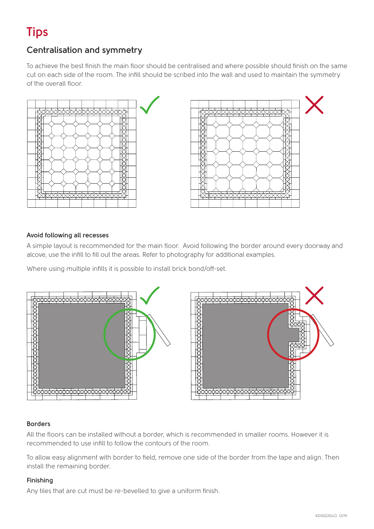# **Tips**

## **Centralisation and symmetry**

To achieve the best finish the main floor should be centralised and where possible should finish on the same cut on each side of the room. The infill should be scribed into the wall and used to maintain the symmetry of the overall floor.





### **Avoid following all recesses**

A simple layout is recommended for the main floor. Avoid following the border around every doorway and alcove, use the infill to fill out the areas. Refer to photography for additional examples.

Where using multiple infills it is possible to install brick bond/off-set.



### **Borders**

All the floors can be installed without a border, which is recommended in smaller rooms. However it is recommended to use infill to follow the contours of the room.

To allow easy alignment with border to field, remove one side of the border from the tape and align. Then install the remaining border.

### **Finishing**

Any tiles that are cut must be re-bevelled to give a uniform finish.